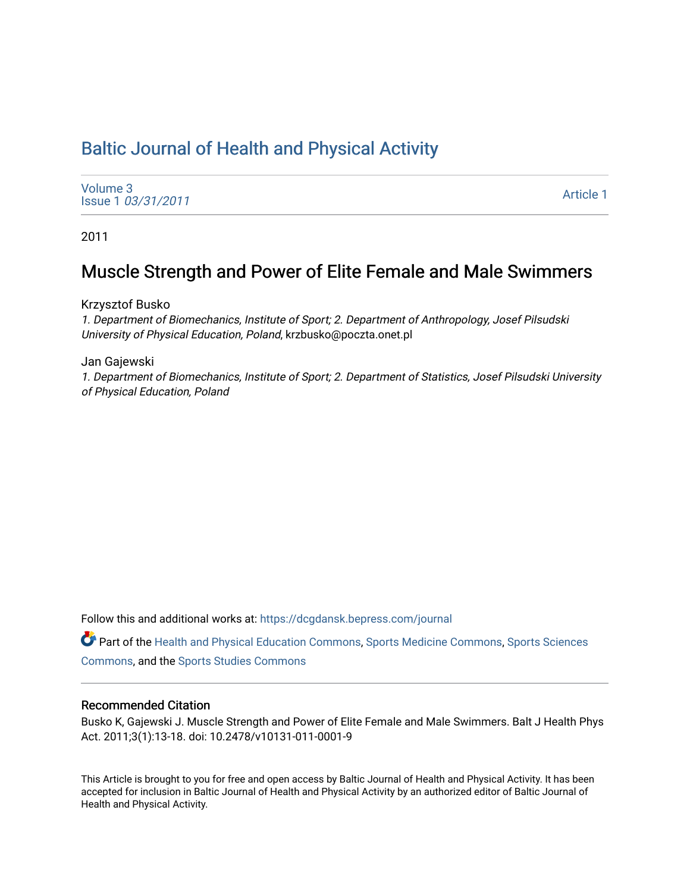# [Baltic Journal of Health and Physical Activity](https://dcgdansk.bepress.com/journal)

[Volume 3](https://dcgdansk.bepress.com/journal/vol3) Issue 1 [03/31/2011](https://dcgdansk.bepress.com/journal/vol3/iss1)

[Article 1](https://dcgdansk.bepress.com/journal/vol3/iss1/1) 

2011

# Muscle Strength and Power of Elite Female and Male Swimmers

Krzysztof Busko

1. Department of Biomechanics, Institute of Sport; 2. Department of Anthropology, Josef Pilsudski University of Physical Education, Poland, krzbusko@poczta.onet.pl

Jan Gajewski

1. Department of Biomechanics, Institute of Sport; 2. Department of Statistics, Josef Pilsudski University of Physical Education, Poland

Follow this and additional works at: [https://dcgdansk.bepress.com/journal](https://dcgdansk.bepress.com/journal?utm_source=dcgdansk.bepress.com%2Fjournal%2Fvol3%2Fiss1%2F1&utm_medium=PDF&utm_campaign=PDFCoverPages)

Part of the [Health and Physical Education Commons](http://network.bepress.com/hgg/discipline/1327?utm_source=dcgdansk.bepress.com%2Fjournal%2Fvol3%2Fiss1%2F1&utm_medium=PDF&utm_campaign=PDFCoverPages), [Sports Medicine Commons,](http://network.bepress.com/hgg/discipline/1331?utm_source=dcgdansk.bepress.com%2Fjournal%2Fvol3%2Fiss1%2F1&utm_medium=PDF&utm_campaign=PDFCoverPages) [Sports Sciences](http://network.bepress.com/hgg/discipline/759?utm_source=dcgdansk.bepress.com%2Fjournal%2Fvol3%2Fiss1%2F1&utm_medium=PDF&utm_campaign=PDFCoverPages) [Commons](http://network.bepress.com/hgg/discipline/759?utm_source=dcgdansk.bepress.com%2Fjournal%2Fvol3%2Fiss1%2F1&utm_medium=PDF&utm_campaign=PDFCoverPages), and the [Sports Studies Commons](http://network.bepress.com/hgg/discipline/1198?utm_source=dcgdansk.bepress.com%2Fjournal%2Fvol3%2Fiss1%2F1&utm_medium=PDF&utm_campaign=PDFCoverPages) 

#### Recommended Citation

Busko K, Gajewski J. Muscle Strength and Power of Elite Female and Male Swimmers. Balt J Health Phys Act. 2011;3(1):13-18. doi: 10.2478/v10131-011-0001-9

This Article is brought to you for free and open access by Baltic Journal of Health and Physical Activity. It has been accepted for inclusion in Baltic Journal of Health and Physical Activity by an authorized editor of Baltic Journal of Health and Physical Activity.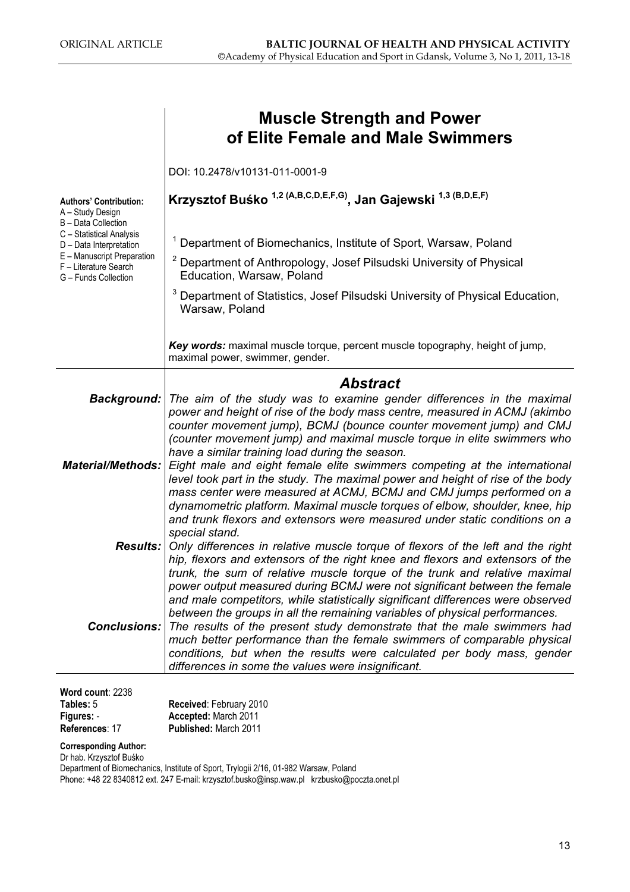|                                                                             | <b>Muscle Strength and Power</b><br>of Elite Female and Male Swimmers                                                                                                                                                                                                                                                                                                                                                                                                                                                             |
|-----------------------------------------------------------------------------|-----------------------------------------------------------------------------------------------------------------------------------------------------------------------------------------------------------------------------------------------------------------------------------------------------------------------------------------------------------------------------------------------------------------------------------------------------------------------------------------------------------------------------------|
|                                                                             | DOI: 10.2478/v10131-011-0001-9                                                                                                                                                                                                                                                                                                                                                                                                                                                                                                    |
| <b>Authors' Contribution:</b><br>A - Study Design                           | Krzysztof Buśko <sup>1,2 (A,B,C,D,E,F,G)</sup> , Jan Gajewski <sup>1,3 (B,D,E,F)</sup>                                                                                                                                                                                                                                                                                                                                                                                                                                            |
| B - Data Collection<br>C - Statistical Analysis<br>D - Data Interpretation  | Department of Biomechanics, Institute of Sport, Warsaw, Poland                                                                                                                                                                                                                                                                                                                                                                                                                                                                    |
| E - Manuscript Preparation<br>F - Literature Search<br>G - Funds Collection | <sup>2</sup> Department of Anthropology, Josef Pilsudski University of Physical<br>Education, Warsaw, Poland                                                                                                                                                                                                                                                                                                                                                                                                                      |
|                                                                             | Department of Statistics, Josef Pilsudski University of Physical Education,<br>Warsaw, Poland                                                                                                                                                                                                                                                                                                                                                                                                                                     |
|                                                                             | Key words: maximal muscle torque, percent muscle topography, height of jump,<br>maximal power, swimmer, gender.                                                                                                                                                                                                                                                                                                                                                                                                                   |
|                                                                             | <b>Abstract</b>                                                                                                                                                                                                                                                                                                                                                                                                                                                                                                                   |
| <b>Background:</b>                                                          | The aim of the study was to examine gender differences in the maximal<br>power and height of rise of the body mass centre, measured in ACMJ (akimbo<br>counter movement jump), BCMJ (bounce counter movement jump) and CMJ<br>(counter movement jump) and maximal muscle torque in elite swimmers who<br>have a similar training load during the season.                                                                                                                                                                          |
| <b>Material/Methods:</b>                                                    | Eight male and eight female elite swimmers competing at the international<br>level took part in the study. The maximal power and height of rise of the body<br>mass center were measured at ACMJ, BCMJ and CMJ jumps performed on a<br>dynamometric platform. Maximal muscle torques of elbow, shoulder, knee, hip<br>and trunk flexors and extensors were measured under static conditions on a                                                                                                                                  |
|                                                                             | special stand.<br><b>Results:</b> Only differences in relative muscle torque of flexors of the left and the right<br>hip, flexors and extensors of the right knee and flexors and extensors of the<br>trunk, the sum of relative muscle torque of the trunk and relative maximal                                                                                                                                                                                                                                                  |
| <b>Conclusions:</b>                                                         | power output measured during BCMJ were not significant between the female<br>and male competitors, while statistically significant differences were observed<br>between the groups in all the remaining variables of physical performances.<br>The results of the present study demonstrate that the male swimmers had<br>much better performance than the female swimmers of comparable physical<br>conditions, but when the results were calculated per body mass, gender<br>differences in some the values were insignificant. |
| Word count: 2238<br>Tables: 5<br>Figures: -<br>D <sub>of</sub>              | Received: February 2010<br>Accepted: March 2011<br>Dublished: March 2011                                                                                                                                                                                                                                                                                                                                                                                                                                                          |

References: 17 Published: March 2011

Corresponding Author: Dr hab. Krzysztof Buśko

Department of Biomechanics, Institute of Sport, Trylogii 2/16, 01-982 Warsaw, Poland

Phone: +48 22 8340812 ext. 247 E-mail: krzysztof.busko@insp.waw.pl krzbusko@poczta.onet.pl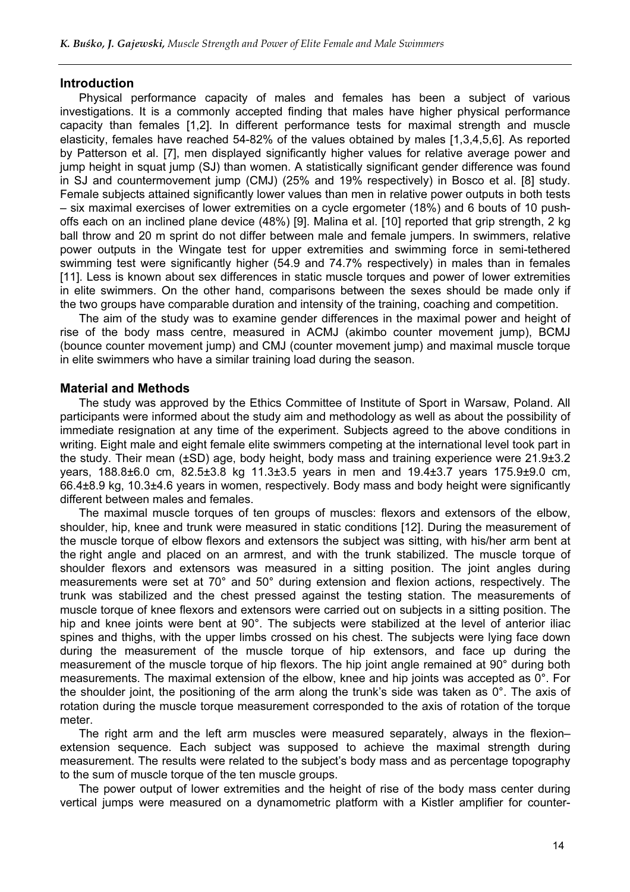#### **Introduction**

Physical performance capacity of males and females has been a subject of various investigations. It is a commonly accepted finding that males have higher physical performance capacity than females [1,2]. In different performance tests for maximal strength and muscle elasticity, females have reached 54-82% of the values obtained by males [1,3,4,5,6]. As reported by Patterson et al. [7], men displayed significantly higher values for relative average power and jump height in squat jump (SJ) than women. A statistically significant gender difference was found in SJ and countermovement jump (CMJ) (25% and 19% respectively) in Bosco et al. [8] study. Female subjects attained significantly lower values than men in relative power outputs in both tests – six maximal exercises of lower extremities on a cycle ergometer (18%) and 6 bouts of 10 pushoffs each on an inclined plane device (48%) [9]. Malina et al. [10] reported that grip strength, 2 kg ball throw and 20 m sprint do not differ between male and female jumpers. In swimmers, relative power outputs in the Wingate test for upper extremities and swimming force in semi-tethered swimming test were significantly higher (54.9 and 74.7% respectively) in males than in females [11]. Less is known about sex differences in static muscle torques and power of lower extremities in elite swimmers. On the other hand, comparisons between the sexes should be made only if the two groups have comparable duration and intensity of the training, coaching and competition.

The aim of the study was to examine gender differences in the maximal power and height of rise of the body mass centre, measured in ACMJ (akimbo counter movement jump), BCMJ (bounce counter movement jump) and CMJ (counter movement jump) and maximal muscle torque in elite swimmers who have a similar training load during the season.

### Material and Methods

The study was approved by the Ethics Committee of Institute of Sport in Warsaw, Poland. All participants were informed about the study aim and methodology as well as about the possibility of immediate resignation at any time of the experiment. Subjects agreed to the above conditions in writing. Eight male and eight female elite swimmers competing at the international level took part in the study. Their mean (±SD) age, body height, body mass and training experience were 21.9±3.2 years, 188.8±6.0 cm, 82.5±3.8 kg 11.3±3.5 years in men and 19.4±3.7 years 175.9±9.0 cm, 66.4±8.9 kg, 10.3±4.6 years in women, respectively. Body mass and body height were significantly different between males and females.

The maximal muscle torques of ten groups of muscles: flexors and extensors of the elbow, shoulder, hip, knee and trunk were measured in static conditions [12]. During the measurement of the muscle torque of elbow flexors and extensors the subject was sitting, with his/her arm bent at the right angle and placed on an armrest, and with the trunk stabilized. The muscle torque of shoulder flexors and extensors was measured in a sitting position. The joint angles during measurements were set at 70° and 50° during extension and flexion actions, respectively. The trunk was stabilized and the chest pressed against the testing station. The measurements of muscle torque of knee flexors and extensors were carried out on subjects in a sitting position. The hip and knee joints were bent at 90°. The subjects were stabilized at the level of anterior iliac spines and thighs, with the upper limbs crossed on his chest. The subjects were lying face down during the measurement of the muscle torque of hip extensors, and face up during the measurement of the muscle torque of hip flexors. The hip joint angle remained at 90° during both measurements. The maximal extension of the elbow, knee and hip joints was accepted as 0°. For the shoulder joint, the positioning of the arm along the trunk's side was taken as 0°. The axis of rotation during the muscle torque measurement corresponded to the axis of rotation of the torque meter.

The right arm and the left arm muscles were measured separately, always in the flexion– extension sequence. Each subject was supposed to achieve the maximal strength during measurement. The results were related to the subject's body mass and as percentage topography to the sum of muscle torque of the ten muscle groups.

The power output of lower extremities and the height of rise of the body mass center during vertical jumps were measured on a dynamometric platform with a Kistler amplifier for counter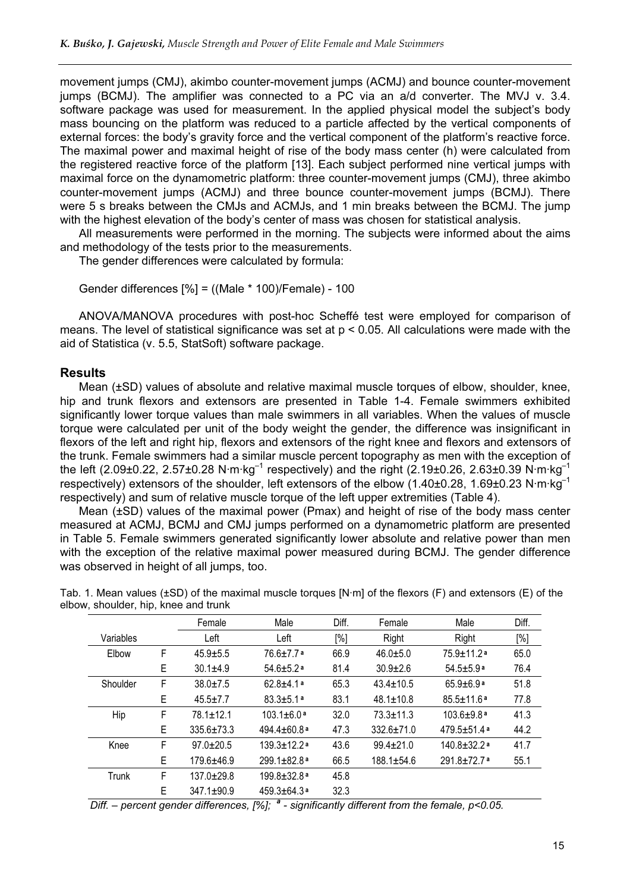movement jumps (CMJ), akimbo counter-movement jumps (ACMJ) and bounce counter-movement jumps (BCMJ). The amplifier was connected to a PC via an a/d converter. The MVJ v. 3.4. software package was used for measurement. In the applied physical model the subject's body mass bouncing on the platform was reduced to a particle affected by the vertical components of external forces: the body's gravity force and the vertical component of the platform's reactive force. The maximal power and maximal height of rise of the body mass center (h) were calculated from the registered reactive force of the platform [13]. Each subject performed nine vertical jumps with maximal force on the dynamometric platform: three counter-movement jumps (CMJ), three akimbo counter-movement jumps (ACMJ) and three bounce counter-movement jumps (BCMJ). There were 5 s breaks between the CMJs and ACMJs, and 1 min breaks between the BCMJ. The jump with the highest elevation of the body's center of mass was chosen for statistical analysis.

All measurements were performed in the morning. The subjects were informed about the aims and methodology of the tests prior to the measurements.

The gender differences were calculated by formula:

```
Gender differences [%] = ((Male * 100)/Female) - 100
```
ANOVA/MANOVA procedures with post-hoc Scheffé test were employed for comparison of means. The level of statistical significance was set at p < 0.05. All calculations were made with the aid of Statistica (v. 5.5, StatSoft) software package.

### **Results**

Mean (±SD) values of absolute and relative maximal muscle torques of elbow, shoulder, knee, hip and trunk flexors and extensors are presented in Table 1-4. Female swimmers exhibited significantly lower torque values than male swimmers in all variables. When the values of muscle torque were calculated per unit of the body weight the gender, the difference was insignificant in flexors of the left and right hip, flexors and extensors of the right knee and flexors and extensors of the trunk. Female swimmers had a similar muscle percent topography as men with the exception of the left (2.09±0.22, 2.57±0.28 N·m·kg<sup>-1</sup> respectively) and the right (2.19±0.26, 2.63±0.39 N·m·kg<sup>-1</sup> respectively) extensors of the shoulder, left extensors of the elbow (1.40±0.28, 1.69±0.23 N·m·kg–1 respectively) and sum of relative muscle torque of the left upper extremities (Table 4).

Mean (±SD) values of the maximal power (Pmax) and height of rise of the body mass center measured at ACMJ, BCMJ and CMJ jumps performed on a dynamometric platform are presented in Table 5. Female swimmers generated significantly lower absolute and relative power than men with the exception of the relative maximal power measured during BCMJ. The gender difference was observed in height of all jumps, too.

|              |   | Female           | Male                          | Diff.  | Female           | Male                         | Diff. |
|--------------|---|------------------|-------------------------------|--------|------------------|------------------------------|-------|
| Variables    |   | Left             | Left                          | $[\%]$ | Right            | Right                        | [%]   |
| Elbow        | F | $45.9 \pm 5.5$   | $76.6 \pm 7.7$ a              | 66.9   | $46.0 + 5.0$     | $75.9 \pm 11.2$ a            | 65.0  |
|              | Е | $30.1 + 4.9$     | $54.6 \pm 5.2$ <sup>a</sup>   | 81.4   | $30.9 \pm 2.6$   | $54.5 \pm 5.9$ <sup>a</sup>  | 76.4  |
| Shoulder     | F | $38.0 \pm 7.5$   | $62.8 + 4.1a$                 | 65.3   | $43.4 \pm 10.5$  | $65.9 + 6.9$ a               | 51.8  |
|              | Е | $45.5 \pm 7.7$   | $83.3 \pm 5.1$ <sup>a</sup>   | 83.1   | $48.1 \pm 10.8$  | $85.5 \pm 11.6$ <sup>a</sup> | 77.8  |
| Hip          | F | 78.1±12.1        | $103.1 \pm 6.0$ <sup>a</sup>  | 32.0   | $73.3 \pm 11.3$  | $103.6 + 9.8$ a              | 41.3  |
|              | E | $335.6 \pm 73.3$ | $494.4 \pm 60.8$ <sup>a</sup> | 47.3   | $332.6 \pm 71.0$ | $479.5 + 51.4$ a             | 44.2  |
| Knee         | F | $97.0 \pm 20.5$  | $139.3 + 12.2a$               | 43.6   | $99.4 \pm 21.0$  | $140.8 + 32.2a$              | 41.7  |
|              | E | 179.6±46.9       | 299.1±82.8ª                   | 66.5   | $188.1 \pm 54.6$ | 291.8±72.7a                  | 55.1  |
| <b>Trunk</b> | F | $137.0 + 29.8$   | $199.8 + 32.8$ <sup>a</sup>   | 45.8   |                  |                              |       |
|              | E | $347.1 \pm 90.9$ | $459.3 + 64.3$ a              | 32.3   |                  |                              |       |

Tab. 1. Mean values (±SD) of the maximal muscle torques [N·m] of the flexors (F) and extensors (E) of the elbow, shoulder, hip, knee and trunk

Diff. – percent gender differences,  $[\%]$ ;  $^a$  - significantly different from the female,  $p$ <0.05.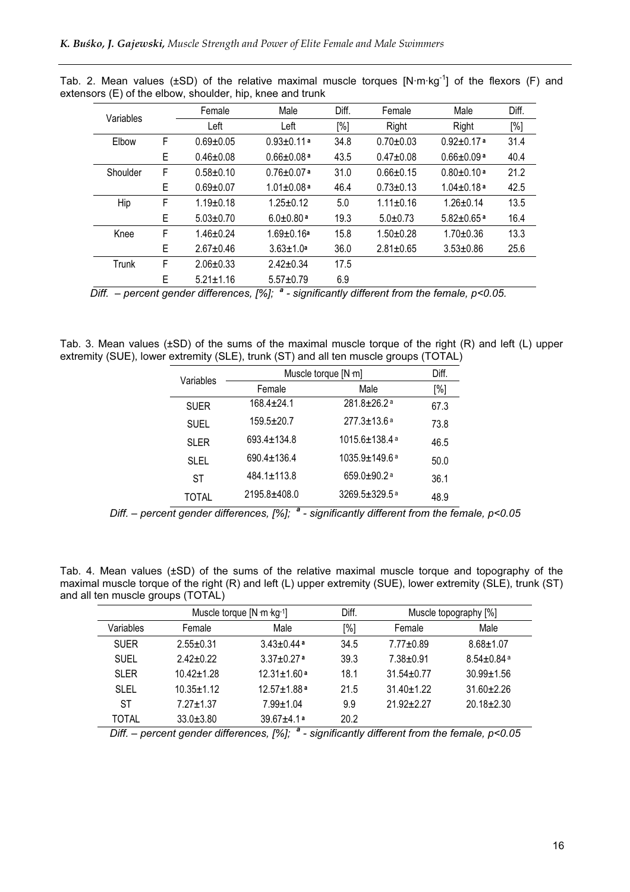| Variables |   | Female          | Male                         | Diff. | Female          | Male                         | Diff. |
|-----------|---|-----------------|------------------------------|-------|-----------------|------------------------------|-------|
|           |   | Left            | Left                         | [%]   | Right           | Right                        | [%]   |
| Elbow     | F | $0.69 + 0.05$   | $0.93 \pm 0.11$ <sup>a</sup> | 34.8  | $0.70 + 0.03$   | $0.92 \pm 0.17$ <sup>a</sup> | 31.4  |
|           | Е | $0.46 \pm 0.08$ | $0.66 \pm 0.08$ <sup>a</sup> | 43.5  | $0.47 + 0.08$   | $0.66 \pm 0.09$ <sup>a</sup> | 40.4  |
| Shoulder  | F | $0.58 + 0.10$   | $0.76 \pm 0.07$ <sup>a</sup> | 31.0  | $0.66 \pm 0.15$ | $0.80 \pm 0.10$ <sup>a</sup> | 21.2  |
|           | Е | $0.69 + 0.07$   | $1.01 \pm 0.08$ <sup>a</sup> | 46.4  | $0.73 \pm 0.13$ | $1.04 + 0.18a$               | 42.5  |
| Hip       | F | $1.19 + 0.18$   | $1.25 \pm 0.12$              | 5.0   | $1.11 \pm 0.16$ | $1.26 \pm 0.14$              | 13.5  |
|           | Е | $5.03 \pm 0.70$ | $6.0 + 0.80$ <sup>a</sup>    | 19.3  | $5.0 \pm 0.73$  | $5.82 \pm 0.65$ <sup>a</sup> | 16.4  |
| Knee      | F | $1.46 + 0.24$   | $1.69 + 0.16a$               | 15.8  | $1.50 \pm 0.28$ | $1.70 + 0.36$                | 13.3  |
|           | Е | $2.67 + 0.46$   | $3.63 \pm 1.0$ <sup>a</sup>  | 36.0  | $2.81 \pm 0.65$ | $3.53 \pm 0.86$              | 25.6  |
| Trunk     | F | $2.06 + 0.33$   | $2.42 + 0.34$                | 17.5  |                 |                              |       |
|           | Е | $5.21 \pm 1.16$ | $5.57 \pm 0.79$              | 6.9   |                 |                              |       |

Tab. 2. Mean values ( $\pm$ SD) of the relative maximal muscle torques  $[N·m·kg<sup>-1</sup>]$  of the flexors (F) and extensors (E) of the elbow, shoulder, hip, knee and trunk

Diff.  $-$  percent gender differences, [%];  $a$  - significantly different from the female, p<0.05.

Tab. 3. Mean values (±SD) of the sums of the maximal muscle torque of the right (R) and left (L) upper extremity (SUE), lower extremity (SLE), trunk (ST) and all ten muscle groups (TOTAL)

| Variables   |                   | Muscle torque [N m]             | Diff. |
|-------------|-------------------|---------------------------------|-------|
|             | Female            | Male                            | [%]   |
| <b>SUER</b> | $168.4 \pm 24.1$  | 281.8±26.2ª                     | 67.3  |
| <b>SUEL</b> | $159.5 \pm 20.7$  | $277.3 \pm 13.6$ <sup>a</sup>   | 73.8  |
| <b>SLER</b> | 693.4±134.8       | 1015.6±138.4 a                  | 46.5  |
| SLEL        | 690.4±136.4       | $1035.9 \pm 149.6$ a            | 50.0  |
| ST          | $484.1 \pm 113.8$ | 659.0 $\pm$ 90.2 <sup>a</sup>   | 36.1  |
| TOTAL       | 2195.8±408.0      | $3269.5 \pm 329.5$ <sup>a</sup> | 48.9  |

Diff. – percent gender differences,  $[%]$ ;  $^a$  - significantly different from the female,  $p$ <0.05

Tab. 4. Mean values (±SD) of the sums of the relative maximal muscle torque and topography of the maximal muscle torque of the right (R) and left (L) upper extremity (SUE), lower extremity (SLE), trunk (ST) and all ten muscle groups (TOTAL)

|             |                 | Muscle torque [N m kg-1]    | Diff. | Muscle topography [%] |                            |
|-------------|-----------------|-----------------------------|-------|-----------------------|----------------------------|
| Variables   | Female          | Male                        | [%]   | Female                | Male                       |
| <b>SUER</b> | $2.55 + 0.31$   | $3.43 + 0.44$ <sup>a</sup>  | 34.5  | $7.77 \pm 0.89$       | $8.68 + 1.07$              |
| <b>SUEL</b> | $2.42 + 0.22$   | $3.37 + 0.27$ <sup>a</sup>  | 39.3  | $7.38 + 0.91$         | $8.54 + 0.84$ <sup>a</sup> |
| <b>SLER</b> | $10.42 + 1.28$  | $12.31 + 1.60$ <sup>a</sup> | 18.1  | $31.54 + 0.77$        | $30.99 \pm 1.56$           |
| SLEL        | $10.35 + 1.12$  | $12.57 + 1.88$ a            | 21.5  | $31.40 + 1.22$        | $31.60 + 2.26$             |
| SТ          | $7.27 + 1.37$   | $7.99 + 1.04$               | 9.9   | $21.92 + 2.27$        | $20.18 \pm 2.30$           |
| TOTAL       | $33.0 \pm 3.80$ | $39.67 + 4.1a$              | 20.2  |                       |                            |

Diff. – percent gender differences,  $[%]$ ;  $^a$  - significantly different from the female,  $p$ <0.05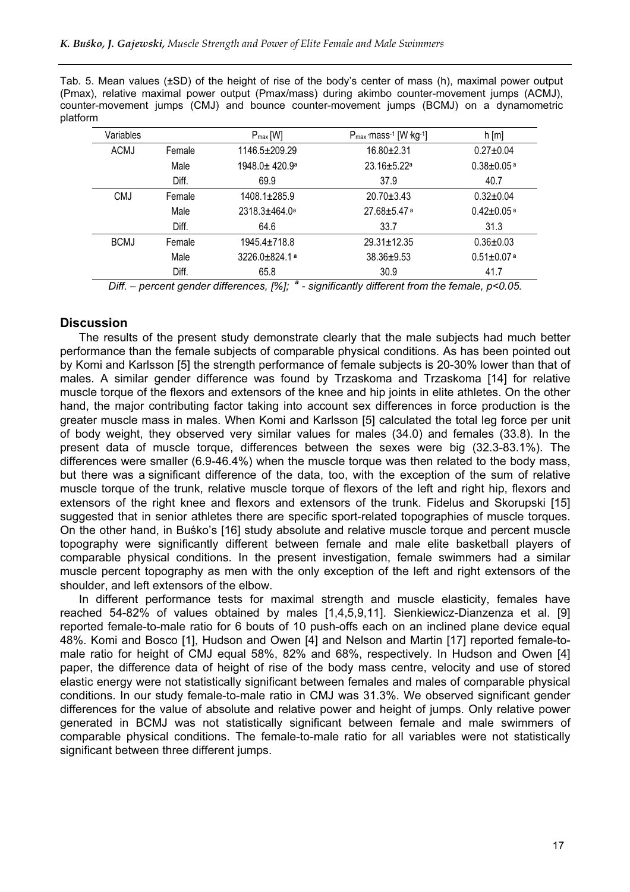Tab. 5. Mean values (±SD) of the height of rise of the body's center of mass (h), maximal power output (Pmax), relative maximal power output (Pmax/mass) during akimbo counter-movement jumps (ACMJ), counter-movement jumps (CMJ) and bounce counter-movement jumps (BCMJ) on a dynamometric platform

| Variables   |        | $P_{max}[W]$         | $P_{max}$ mass <sup>-1</sup> [W $kg$ <sup>-1</sup> ] | $h$ [m]                      |
|-------------|--------|----------------------|------------------------------------------------------|------------------------------|
| <b>ACMJ</b> | Female | 1146.5±209.29        | 16.80±2.31                                           | $0.27 \pm 0.04$              |
|             | Male   | $1948.0 + 420.9a$    | $23.16 + 5.22$ <sup>a</sup>                          | $0.38 \pm 0.05$ <sup>a</sup> |
|             | Diff.  | 69.9                 | 37.9                                                 | 40.7                         |
| <b>CMJ</b>  | Female | $1408.1 \pm 285.9$   | $20.70 \pm 3.43$                                     | $0.32 \pm 0.04$              |
|             | Male   | $2318.3 \pm 464.0^a$ | $27.68 \pm 5.47$ <sup>a</sup>                        | $0.42 \pm 0.05$ <sup>a</sup> |
|             | Diff.  | 64.6                 | 33.7                                                 | 31.3                         |
| <b>BCMJ</b> | Female | $1945.4 + 718.8$     | $29.31 \pm 12.35$                                    | $0.36 \pm 0.03$              |
|             | Male   | $3226.0 + 824.1$ a   | $38.36 + 9.53$                                       | $0.51 \pm 0.07$ <sup>a</sup> |
|             | Diff.  | 65.8                 | 30.9                                                 | 41.7                         |

Diff. – percent gender differences,  $[\%]$ ;  $^a$  - significantly different from the female,  $p$ <0.05.

# **Discussion**

The results of the present study demonstrate clearly that the male subjects had much better performance than the female subjects of comparable physical conditions. As has been pointed out by Komi and Karlsson [5] the strength performance of female subjects is 20-30% lower than that of males. A similar gender difference was found by Trzaskoma and Trzaskoma [14] for relative muscle torque of the flexors and extensors of the knee and hip joints in elite athletes. On the other hand, the major contributing factor taking into account sex differences in force production is the greater muscle mass in males. When Komi and Karlsson [5] calculated the total leg force per unit of body weight, they observed very similar values for males (34.0) and females (33.8). In the present data of muscle torque, differences between the sexes were big (32.3-83.1%). The differences were smaller (6.9-46.4%) when the muscle torque was then related to the body mass, but there was a significant difference of the data, too, with the exception of the sum of relative muscle torque of the trunk, relative muscle torque of flexors of the left and right hip, flexors and extensors of the right knee and flexors and extensors of the trunk. Fidelus and Skorupski [15] suggested that in senior athletes there are specific sport-related topographies of muscle torques. On the other hand, in Buśko's [16] study absolute and relative muscle torque and percent muscle topography were significantly different between female and male elite basketball players of comparable physical conditions. In the present investigation, female swimmers had a similar muscle percent topography as men with the only exception of the left and right extensors of the shoulder, and left extensors of the elbow.

In different performance tests for maximal strength and muscle elasticity, females have reached 54-82% of values obtained by males [1,4,5,9,11]. Sienkiewicz-Dianzenza et al. [9] reported female-to-male ratio for 6 bouts of 10 push-offs each on an inclined plane device equal 48%. Komi and Bosco [1], Hudson and Owen [4] and Nelson and Martin [17] reported female-tomale ratio for height of CMJ equal 58%, 82% and 68%, respectively. In Hudson and Owen [4] paper, the difference data of height of rise of the body mass centre, velocity and use of stored elastic energy were not statistically significant between females and males of comparable physical conditions. In our study female-to-male ratio in CMJ was 31.3%. We observed significant gender differences for the value of absolute and relative power and height of jumps. Only relative power generated in BCMJ was not statistically significant between female and male swimmers of comparable physical conditions. The female-to-male ratio for all variables were not statistically significant between three different jumps.